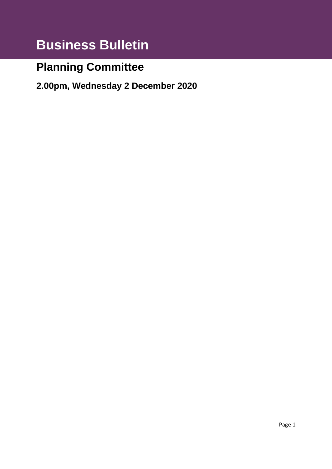# **Business Bulletin**

# **Planning Committee**

**2.00pm, Wednesday 2 December 2020**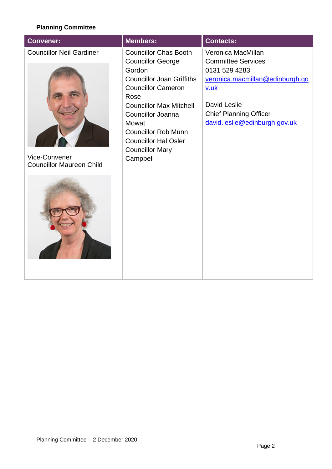# **Planning Committee**

| <b>Members:</b><br><b>Convener:</b>                                                                                               |                                                                                                                                                                                                                                                                         | <b>Contacts:</b>                                                                                                                                                                              |
|-----------------------------------------------------------------------------------------------------------------------------------|-------------------------------------------------------------------------------------------------------------------------------------------------------------------------------------------------------------------------------------------------------------------------|-----------------------------------------------------------------------------------------------------------------------------------------------------------------------------------------------|
| <b>Councillor Neil Gardiner</b><br>Gordon<br>Rose<br><b>Mowat</b><br>Vice-Convener<br>Campbell<br><b>Councillor Maureen Child</b> | <b>Councillor Chas Booth</b><br><b>Councillor George</b><br><b>Councillor Joan Griffiths</b><br><b>Councillor Cameron</b><br><b>Councillor Max Mitchell</b><br>Councillor Joanna<br><b>Councillor Rob Munn</b><br><b>Councillor Hal Osler</b><br><b>Councillor Mary</b> | Veronica MacMillan<br><b>Committee Services</b><br>0131 529 4283<br>veronica.macmillan@edinburgh.go<br>v.uk<br>David Leslie<br><b>Chief Planning Officer</b><br>david.leslie@edinburgh.gov.uk |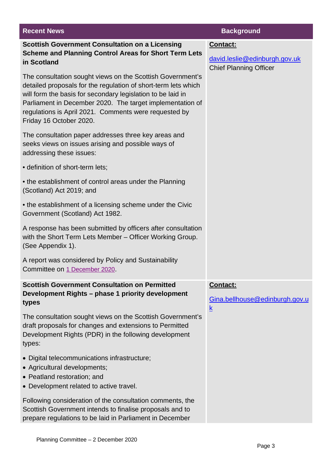| <b>Recent News</b>                                                                                                                                                                                                                                                                                                                           | <b>Background</b>                                                          |
|----------------------------------------------------------------------------------------------------------------------------------------------------------------------------------------------------------------------------------------------------------------------------------------------------------------------------------------------|----------------------------------------------------------------------------|
| <b>Scottish Government Consultation on a Licensing</b><br><b>Scheme and Planning Control Areas for Short Term Lets</b><br>in Scotland                                                                                                                                                                                                        | Contact:<br>david.leslie@edinburgh.gov.uk<br><b>Chief Planning Officer</b> |
| The consultation sought views on the Scottish Government's<br>detailed proposals for the regulation of short-term lets which<br>will form the basis for secondary legislation to be laid in<br>Parliament in December 2020. The target implementation of<br>regulations is April 2021. Comments were requested by<br>Friday 16 October 2020. |                                                                            |
| The consultation paper addresses three key areas and<br>seeks views on issues arising and possible ways of<br>addressing these issues:                                                                                                                                                                                                       |                                                                            |
| · definition of short-term lets;                                                                                                                                                                                                                                                                                                             |                                                                            |
| • the establishment of control areas under the Planning<br>(Scotland) Act 2019; and                                                                                                                                                                                                                                                          |                                                                            |
| • the establishment of a licensing scheme under the Civic<br>Government (Scotland) Act 1982.                                                                                                                                                                                                                                                 |                                                                            |
| A response has been submitted by officers after consultation<br>with the Short Term Lets Member - Officer Working Group.<br>(See Appendix 1).                                                                                                                                                                                                |                                                                            |
| A report was considered by Policy and Sustainability<br>Committee on 1 December 2020.                                                                                                                                                                                                                                                        |                                                                            |
| <b>Scottish Government Consultation on Permitted</b><br>Development Rights - phase 1 priority development<br>types                                                                                                                                                                                                                           | Contact:<br>Gina.bellhouse@edinburgh.gov.u<br>$\mathsf k$                  |
| The consultation sought views on the Scottish Government's<br>draft proposals for changes and extensions to Permitted<br>Development Rights (PDR) in the following development<br>types:                                                                                                                                                     |                                                                            |
| • Digital telecommunications infrastructure;<br>• Agricultural developments;<br>• Peatland restoration; and<br>• Development related to active travel.                                                                                                                                                                                       |                                                                            |
| Following consideration of the consultation comments, the<br>Scottish Government intends to finalise proposals and to<br>prepare regulations to be laid in Parliament in December                                                                                                                                                            |                                                                            |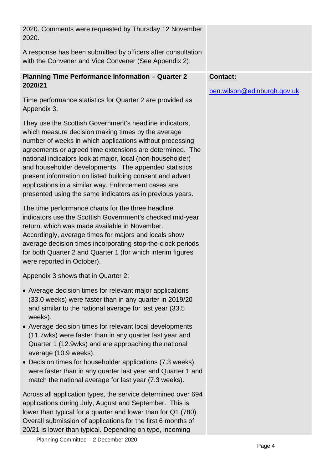| 2020. Comments were requested by Thursday 12 November<br>2020.                                                                                                                                                                                                                                                                                                                                                                                                                                                                                 |                                         |
|------------------------------------------------------------------------------------------------------------------------------------------------------------------------------------------------------------------------------------------------------------------------------------------------------------------------------------------------------------------------------------------------------------------------------------------------------------------------------------------------------------------------------------------------|-----------------------------------------|
| A response has been submitted by officers after consultation<br>with the Convener and Vice Convener (See Appendix 2).                                                                                                                                                                                                                                                                                                                                                                                                                          |                                         |
| <b>Planning Time Performance Information - Quarter 2</b><br>2020/21                                                                                                                                                                                                                                                                                                                                                                                                                                                                            | Contact:<br>ben.wilson@edinburgh.gov.uk |
| Time performance statistics for Quarter 2 are provided as<br>Appendix 3.                                                                                                                                                                                                                                                                                                                                                                                                                                                                       |                                         |
| They use the Scottish Government's headline indicators,<br>which measure decision making times by the average<br>number of weeks in which applications without processing<br>agreements or agreed time extensions are determined. The<br>national indicators look at major, local (non-householder)<br>and householder developments. The appended statistics<br>present information on listed building consent and advert<br>applications in a similar way. Enforcement cases are<br>presented using the same indicators as in previous years. |                                         |
| The time performance charts for the three headline<br>indicators use the Scottish Government's checked mid-year<br>return, which was made available in November.<br>Accordingly, average times for majors and locals show<br>average decision times incorporating stop-the-clock periods<br>for both Quarter 2 and Quarter 1 (for which interim figures<br>were reported in October).                                                                                                                                                          |                                         |
| Appendix 3 shows that in Quarter 2:                                                                                                                                                                                                                                                                                                                                                                                                                                                                                                            |                                         |
| • Average decision times for relevant major applications<br>(33.0 weeks) were faster than in any quarter in 2019/20<br>and similar to the national average for last year (33.5)<br>weeks).                                                                                                                                                                                                                                                                                                                                                     |                                         |
| • Average decision times for relevant local developments<br>(11.7wks) were faster than in any quarter last year and<br>Quarter 1 (12.9wks) and are approaching the national<br>average (10.9 weeks).                                                                                                                                                                                                                                                                                                                                           |                                         |
| • Decision times for householder applications (7.3 weeks)<br>were faster than in any quarter last year and Quarter 1 and<br>match the national average for last year (7.3 weeks).                                                                                                                                                                                                                                                                                                                                                              |                                         |
| Across all application types, the service determined over 694<br>applications during July, August and September. This is<br>lower than typical for a quarter and lower than for Q1 (780).<br>Overall submission of applications for the first 6 months of<br>20/21 is lower than typical. Depending on type, incoming<br>Planning Committee - 2 December 2020                                                                                                                                                                                  |                                         |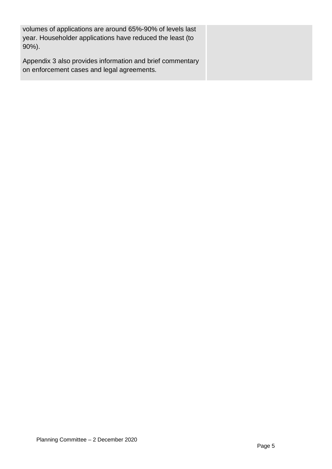| volumes of applications are around 65%-90% of levels last<br>year. Householder applications have reduced the least (to<br>$90\%$ ). |  |
|-------------------------------------------------------------------------------------------------------------------------------------|--|
| Appendix 3 also provides information and brief commentary<br>on enforcement cases and legal agreements.                             |  |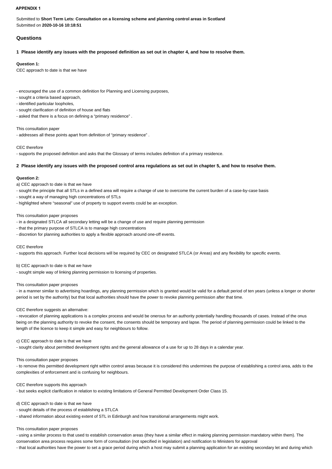#### **APPENDIX 1**

Submitted to **Short Term Lets: Consultation on a licensing scheme and planning control areas in Scotland** Submitted on **2020-10-16 10:18:51**

# **Questions**

**1 Please identify any issues with the proposed definition as set out in chapter 4, and how to resolve them.**

#### **Question 1:**

CEC approach to date is that we have

- encouraged the use of a common definition for Planning and Licensing purposes,

- sought a criteria based approach,

- identified particular loopholes,

- sought clarification of definition of house and flats
- asked that there is a focus on defining a "primary residence" .

This consultation paper

- addresses all these points apart from definition of "primary residence" .

CEC therefore

- supports the proposed definition and asks that the Glossary of terms includes definition of a primary residence.

#### **2 Please identify any issues with the proposed control area regulations as set out in chapter 5, and how to resolve them.**

#### **Question 2:**

a) CEC approach to date is that we have

- sought the principle that all STLs in a defined area will require a change of use to overcome the current burden of a case-by-case basis

- sought a way of managing high concentrations of STLs
- highlighted where "seasonal" use of property to support events could be an exception.

#### This consultation paper proposes

- in a designated STLCA all secondary letting will be a change of use and require planning permission
- that the primary purpose of STLCA is to manage high concentrations
- discretion for planning authorities to apply a flexible approach around one-off events.

#### CEC therefore

- supports this approach. Further local decisions will be required by CEC on designated STLCA (or Areas) and any flexibility for specific events.

b) CEC approach to date is that we have

- sought simple way of linking planning permission to licensing of properties.

#### This consultation paper proposes

- in a manner similar to advertising hoardings, any planning permission which is granted would be valid for a default period of ten years (unless a longer or shorter period is set by the authority) but that local authorities should have the power to revoke planning permission after that time.

## CEC therefore suggests an alternative:

- revocation of planning applications is a complex process and would be onerous for an authority potentially handling thousands of cases. Instead of the onus being on the planning authority to revoke the consent, the consents should be temporary and lapse. The period of planning permission could be linked to the length of the licence to keep it simple and easy for neighbours to follow.

#### c) CEC approach to date is that we have

- sought clarity about permitted development rights and the general allowance of a use for up to 28 days in a calendar year.

#### This consultation paper proposes

- to remove this permitted development right within control areas because it is considered this undermines the purpose of establishing a control area, adds to the complexities of enforcement and is confusing for neighbours.

#### CEC therefore supports this approach

- but seeks explicit clarification in relation to existing limitations of General Permitted Development Order Class 15.

#### d) CEC approach to date is that we have

- sought details of the process of establishing a STLCA

- shared information about existing extent of STL in Edinburgh and how transitional arrangements might work.

#### This consultation paper proposes

- using a similar process to that used to establish conservation areas (they have a similar effect in making planning permission mandatory within them). The

conservation area process requires some form of consultation (not specified in legislation) and notification to Ministers for approval

- that local authorities have the power to set a grace period during which a host may submit a planning application for an existing secondary let and during which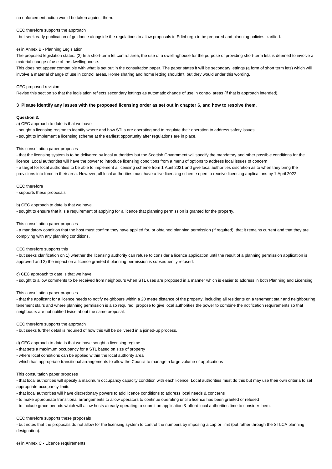#### no enforcement action would be taken against them.

#### CEC therefore supports the approach

- but seek early publication of guidance alongside the regulations to allow proposals in Edinburgh to be prepared and planning policies clarified.

#### e) in Annex B - Planning Legislation

The proposed legislation states: (2) In a short-term let control area, the use of a dwellinghouse for the purpose of providing short-term lets is deemed to involve a material change of use of the dwellinghouse.

This does not appear compatible with what is set out in the consultation paper. The paper states it will be secondary lettings (a form of short term lets) which will involve a material change of use in control areas. Home sharing and home letting shouldn't, but they would under this wording.

#### CEC proposed revision:

Revise this section so that the legislation reflects secondary lettings as automatic change of use in control areas (if that is approach intended).

#### **3 Please identify any issues with the proposed licensing order as set out in chapter 6, and how to resolve them.**

#### **Question 3:**

## a) CEC approach to date is that we have

- sought a licensing regime to identify where and how STLs are operating and to regulate their operation to address safety issues
- sought to implement a licensing scheme at the earliest opportunity after regulations are in place.

#### This consultation paper proposes

- that the licensing system is to be delivered by local authorities but the Scottish Government will specify the mandatory and other possible conditions for the licence. Local authorities will have the power to introduce licensing conditions from a menu of options to address local issues of concern - a target for local authorities to be able to implement a licensing scheme from 1 April 2021 and give local authorities discretion as to when they bring the provisions into force in their area. However, all local authorities must have a live licensing scheme open to receive licensing applications by 1 April 2022.

#### CEC therefore

- supports these proposals

#### b) CEC approach to date is that we have

- sought to ensure that it is a requirement of applying for a licence that planning permission is granted for the property.

#### This consultation paper proposes

- a mandatory condition that the host must confirm they have applied for, or obtained planning permission (if required), that it remains current and that they are complying with any planning conditions.

#### CEC therefore supports this

- but seeks clarification on 1) whether the licensing authority can refuse to consider a licence application until the result of a planning permission application is approved and 2) the impact on a licence granted if planning permission is subsequently refused.

#### c) CEC approach to date is that we have

- sought to allow comments to be received from neighbours when STL uses are proposed in a manner which is easier to address in both Planning and Licensing.

#### This consultation paper proposes

- that the applicant for a licence needs to notify neighbours within a 20 metre distance of the property, including all residents on a tenement stair and neighbouring tenement stairs and where planning permission is also required, propose to give local authorities the power to combine the notification requirements so that neighbours are not notified twice about the same proposal.

#### CEC therefore supports the approach

- but seeks further detail is required of how this will be delivered in a joined-up process.

#### d) CEC approach to date is that we have sought a licensing regime

- that sets a maximum occupancy for a STL based on size of property
- where local conditions can be applied within the local authority area
- which has appropriate transitional arrangements to allow the Council to manage a large volume of applications

#### This consultation paper proposes

- that local authorities will specify a maximum occupancy capacity condition with each licence. Local authorities must do this but may use their own criteria to set appropriate occupancy limits

- that local authorities will have discretionary powers to add licence conditions to address local needs & concerns

- to make appropriate transitional arrangements to allow operators to continue operating until a licence has been granted or refused
- to include grace periods which will allow hosts already operating to submit an application & afford local authorities time to consider them.

#### CEC therefore supports these proposals

- but notes that the proposals do not allow for the licensing system to control the numbers by imposing a cap or limit (but rather through the STLCA planning designation).

#### e) in Annex C - Licence requirements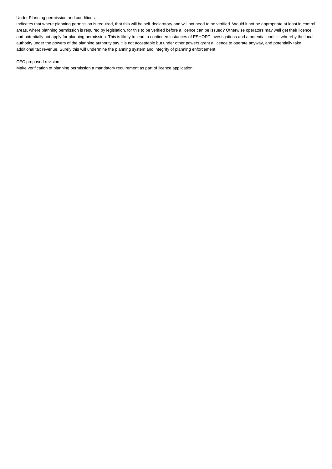### Under Planning permission and conditions:

Indicates that where planning permission is required, that this will be self-declaratory and will not need to be verified. Would it not be appropriate at least in control areas, where planning permission is required by legislation, for this to be verified before a licence can be issued? Otherwise operators may well get their licence and potentially not apply for planning permission. This is likely to lead to continued instances of ESHORT investigations and a potential conflict whereby the local authority under the powers of the planning authority say it is not acceptable but under other powers grant a licence to operate anyway, and potentially take additional tax revenue. Surely this will undermine the planning system and integrity of planning enforcement.

## CEC proposed revision:

Make verification of planning permission a mandatory requirement as part of licence application.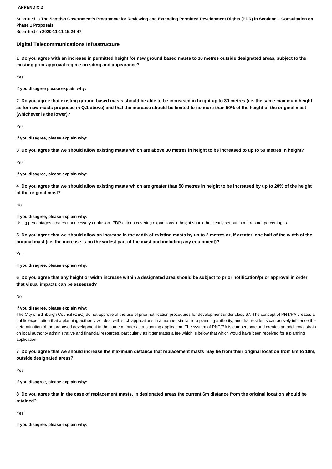#### **APPENDIX 2**

Submitted to **The Scottish Government's Programme for Reviewing and Extending Permitted Development Rights (PDR) in Scotland – Consultation on Phase 1 Proposals**

Submitted on **2020-11-11 15:24:47**

# **Digital Telecommunications Infrastructure**

**1 Do you agree with an increase in permitted height for new ground based masts to 30 metres outside designated areas, subject to the existing prior approval regime on siting and appearance?**

Yes

**If you disagree please explain why:**

**2 Do you agree that existing ground based masts should be able to be increased in height up to 30 metres (i.e. the same maximum height as for new masts proposed in Q.1 above) and that the increase should be limited to no more than 50% of the height of the original mast (whichever is the lower)?**

Yes

**If you disagree, please explain why:**

**3 Do you agree that we should allow existing masts which are above 30 metres in height to be increased to up to 50 metres in height?**

Yes

**If you disagree, please explain why:**

**4 Do you agree that we should allow existing masts which are greater than 50 metres in height to be increased by up to 20% of the height of the original mast?**

No

#### **If you disagree, please explain why:**

Using percentages creates unnecessary confusion. PDR criteria covering expansions in height should be clearly set out in metres not percentages.

**5 Do you agree that we should allow an increase in the width of existing masts by up to 2 metres or, if greater, one half of the width of the original mast (i.e. the increase is on the widest part of the mast and including any equipment)?**

Yes

**If you disagree, please explain why:**

**6 Do you agree that any height or width increase within a designated area should be subject to prior notification/prior approval in order that visual impacts can be assessed?**

No

#### **If you disagree, please explain why:**

The City of Edinburgh Council (CEC) do not approve of the use of prior notification procedures for development under class 67. The concept of PNT/PA creates a public expectation that a planning authority will deal with such applications in a manner similar to a planning authority, and that residents can actively influence the determination of the proposed development in the same manner as a planning application. The system of PNT/PA is cumbersome and creates an additional strain on local authority administrative and financial resources, particularly as it generates a fee which is below that which would have been received for a planning application.

**7 Do you agree that we should increase the maximum distance that replacement masts may be from their original location from 6m to 10m, outside designated areas?**

Yes

**If you disagree, please explain why:**

**8 Do you agree that in the case of replacement masts, in designated areas the current 6m distance from the original location should be retained?**

Yes

**If you disagree, please explain why:**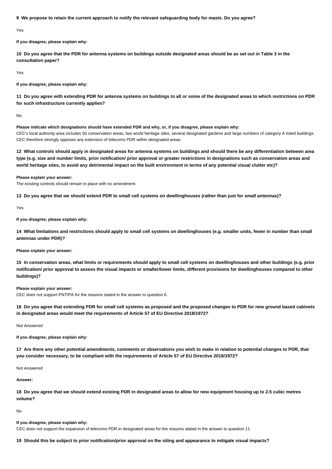**9 We propose to retain the current approach to notify the relevant safeguarding body for masts. Do you agree?**

Yes

**If you disagree, please explain why:**

**10 Do you agree that the PDR for antenna systems on buildings outside designated areas should be as set out in Table 3 in the consultation paper?**

Yes

**If you disagree, please explain why:**

**11 Do you agree with extending PDR for antenna systems on buildings to all or some of the designated areas to which restrictions on PDR for such infrastructure currently applies?**

No

**Please indicate which designations should have extended PDR and why, or, if you disagree, please explain why:** CEC's local authority area includes 50 conservation areas, two world heritage sites, several designated gardens and large numbers of category A listed buildings. CEC therefore strongly opposes any extension of telecoms PDR within designated areas.

**12 What controls should apply in designated areas for antenna systems on buildings and should there be any differentiation between area type (e.g. size and number limits, prior notification/ prior approval or greater restrictions in designations such as conservation areas and world heritage sites, to avoid any detrimental impact on the built environment in terms of any potential visual clutter etc)?**

#### **Please explain your answer:**

The existing controls should remain in place with no amendment.

**13 Do you agree that we should extend PDR to small cell systems on dwellinghouses (rather than just for small antennas)?**

Yes

**If you disagree, please explain why:**

**14 What limitations and restrictions should apply to small cell systems on dwellinghouses (e.g. smaller units, fewer in number than small antennas under PDR)?**

**Please explain your answer:**

**15 In conservation areas, what limits or requirements should apply to small cell systems on dwellinghouses and other buildings (e.g. prior notification/ prior approval to assess the visual impacts or smaller/lower limits, different provisions for dwellinghouses compared to other buildings)?**

#### **Please explain your answer:**

CEC does not support PNT/PA for the reasons stated in the answer to question 6.

**16 Do you agree that extending PDR for small cell systems as proposed and the proposed changes to PDR for new ground based cabinets in designated areas would meet the requirements of Article 57 of EU Directive 2018/1972?**

Not Answered

**If you disagree, please explain why:**

**17 Are there any other potential amendments, comments or observations you wish to make in relation to potential changes to PDR, that you consider necessary, to be compliant with the requirements of Article 57 of EU Directive 2018/1972?**

Not Answered

**Answer:**

**18 Do you agree that we should extend existing PDR in designated areas to allow for new equipment housing up to 2.5 cubic metres volume?**

No

#### **If you disagree, please explain why:**

CEC does not support the expansion of telecoms PDR in designated areas for the reasons stated in the answer to question 11.

**19 Should this be subject to prior notification/prior approval on the siting and appearance to mitigate visual impacts?**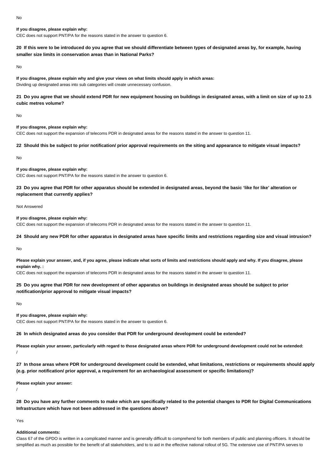# **If you disagree, please explain why:**

CEC does not support PNT/PA for the reasons stated in the answer to question 6.

# **20 If this were to be introduced do you agree that we should differentiate between types of designated areas by, for example, having smaller size limits in conservation areas than in National Parks?**

No

**If you disagree, please explain why and give your views on what limits should apply in which areas:** Dividing up designated areas into sub categories will create unnecessary confusion.

# **21 Do you agree that we should extend PDR for new equipment housing on buildings in designated areas, with a limit on size of up to 2.5 cubic metres volume?**

No

#### **If you disagree, please explain why:** CEC does not support the expansion of telecoms PDR in designated areas for the reasons stated in the answer to question 11.

# **22 Should this be subject to prior notification/ prior approval requirements on the siting and appearance to mitigate visual impacts?**

No

# **If you disagree, please explain why:**

CEC does not support PNT/PA for the reasons stated in the answer to question 6.

# **23 Do you agree that PDR for other apparatus should be extended in designated areas, beyond the basic 'like for like' alteration or replacement that currently applies?**

Not Answered

**If you disagree, please explain why:**

CEC does not support the expansion of telecoms PDR in designated areas for the reasons stated in the answer to question 11.

# **24 Should any new PDR for other apparatus in designated areas have specific limits and restrictions regarding size and visual intrusion?**

No

**Please explain your answer, and, if you agree, please indicate what sorts of limits and restrictions should apply and why. If you disagree, please explain why. :**

CEC does not support the expansion of telecoms PDR in designated areas for the reasons stated in the answer to question 11.

# **25 Do you agree that PDR for new development of other apparatus on buildings in designated areas should be subject to prior notification/prior approval to mitigate visual impacts?**

No

# **If you disagree, please explain why:**

CEC does not support PNT/PA for the reasons stated in the answer to question 6.

#### **26 In which designated areas do you consider that PDR for underground development could be extended?**

**Please explain your answer, particularly with regard to those designated areas where PDR for underground development could not be extended:** /

**27 In those areas where PDR for underground development could be extended, what limitations, restrictions or requirements should apply (e.g. prior notification/ prior approval, a requirement for an archaeological assessment or specific limitations)?**

**Please explain your answer:**

**28 Do you have any further comments to make which are specifically related to the potential changes to PDR for Digital Communications Infrastructure which have not been addressed in the questions above?**

Yes

/

#### **Additional comments:**

Class 67 of the GPDO is written in a complicated manner and is generally difficult to comprehend for both members of public and planning officers. It should be simplified as much as possible for the benefit of all stakeholders, and to to aid in the effective national rollout of 5G. The extensive use of PNT/PA serves to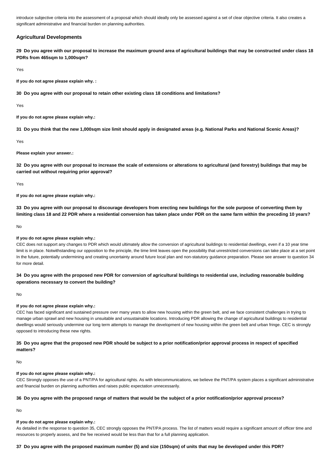introduce subiective criteria into the assessment of a proposal which should ideally only be assessed against a set of clear objective criteria. It also creates a significant administrative and financial burden on planning authorities.

# **Agricultural Developments**

**29 Do you agree with our proposal to increase the maximum ground area of agricultural buildings that may be constructed under class 18 PDRs from 465sqm to 1,000sqm?**

Yes

**If you do not agree please explain why. :**

**30 Do you agree with our proposal to retain other existing class 18 conditions and limitations?**

Yes

**If you do not agree please explain why.:**

**31 Do you think that the new 1,000sqm size limit should apply in designated areas (e.g. National Parks and National Scenic Areas)?**

Yes

**Please explain your answer.:**

**32 Do you agree with our proposal to increase the scale of extensions or alterations to agricultural (and forestry) buildings that may be carried out without requiring prior approval?**

Yes

**If you do not agree please explain why.:**

**33 Do you agree with our proposal to discourage developers from erecting new buildings for the sole purpose of converting them by limiting class 18 and 22 PDR where a residential conversion has taken place under PDR on the same farm within the preceding 10 years?**

No

#### **If you do not agree please explain why.:**

CEC does not support any changes to PDR which would ultimately allow the conversion of agricultural buildings to residential dwellings, even if a 10 year time limit is in place. Notwithstanding our opposition to the principle, the time limit leaves open the possibility that unrestricted conversions can take place at a set point In the future, potentially undermining and creating uncertainty around future local plan and non-statutory guidance preparation. Please see answer to question 34 for more detail.

# **34 Do you agree with the proposed new PDR for conversion of agricultural buildings to residential use, including reasonable building operations necessary to convert the building?**

No

#### **If you do not agree please explain why.:**

CEC has faced significant and sustained pressure over many years to allow new housing within the green belt, and we face consistent challenges in trying to manage urban sprawl and new housing in unsuitable and unsustainable locations. Introducing PDR allowing the change of agricultural buildings to residential dwellings would seriously undermine our long term attempts to manage the development of new housing within the green belt and urban fringe. CEC is strongly opposed to introducing these new rights.

# **35 Do you agree that the proposed new PDR should be subject to a prior notification/prior approval process in respect of specified matters?**

No

#### **If you do not agree please explain why.:**

CEC Strongly opposes the use of a PNT/PA for agricultural rights. As with telecommunications, we believe the PNT/PA system places a significant administrative and financial burden on planning authorities and raises public expectation unnecessarily.

#### **36 Do you agree with the proposed range of matters that would be the subject of a prior notification/prior approval process?**

No

#### **If you do not agree please explain why.:**

As detailed in the response to question 35, CEC strongly opposes the PNT/PA process. The list of matters would require a significant amount of officer time and resources to properly assess, and the fee received would be less than that for a full planning application.

## **37 Do you agree with the proposed maximum number (5) and size (150sqm) of units that may be developed under this PDR?**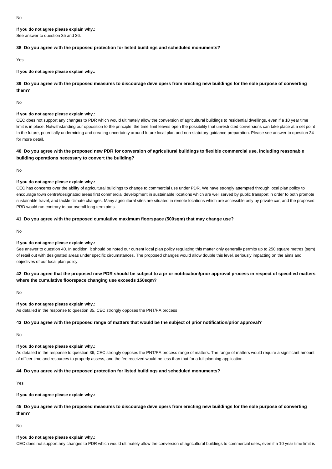**If you do not agree please explain why.:**

See answer to question 35 and 36.

# **38 Do you agree with the proposed protection for listed buildings and scheduled monuments?**

Yes

**If you do not agree please explain why.:**

**39 Do you agree with the proposed measures to discourage developers from erecting new buildings for the sole purpose of converting them?**

No

## **If you do not agree please explain why.:**

CEC does not support any changes to PDR which would ultimately allow the conversion of agricultural buildings to residential dwellings, even if a 10 year time limit is in place. Notwithstanding our opposition to the principle, the time limit leaves open the possibility that unrestricted conversions can take place at a set point In the future, potentially undermining and creating uncertainty around future local plan and non-statutory quidance preparation. Please see answer to question 34 for more detail.

# **40 Do you agree with the proposed new PDR for conversion of agricultural buildings to flexible commercial use, including reasonable building operations necessary to convert the building?**

No

# **If you do not agree please explain why.:**

CEC has concerns over the ability of agricultural buildings to change to commercial use under PDR. We have strongly attempted through local plan policy to encourage town centre/designated areas first commercial development in sustainable locations which are well served by public transport in order to both promote sustainable travel, and tackle climate changes. Many agricultural sites are situated in remote locations which are accessible only by private car, and the proposed PRD would run contrary to our overall long term aims.

# **41 Do you agree with the proposed cumulative maximum floorspace (500sqm) that may change use?**

No

#### **If you do not agree please explain why.:**

See answer to question 40. In addition, it should be noted our current local plan policy regulating this matter only generally permits up to 250 square metres (sqm) of retail out with designated areas under specific circumstances. The proposed changes would allow double this level, seriously impacting on the aims and objectives of our local plan policy.

# **42 Do you agree that the proposed new PDR should be subject to a prior notification/prior approval process in respect of specified matters where the cumulative floorspace changing use exceeds 150sqm?**

No

# **If you do not agree please explain why.:**

As detailed in the response to question 35, CEC strongly opposes the PNT/PA process

# **43 Do you agree with the proposed range of matters that would be the subject of prior notification/prior approval?**

No

# **If you do not agree please explain why.:**

As detailed in the response to question 36, CEC strongly opposes the PNT/PA process range of matters. The range of matters would require a significant amount of officer time and resources to properly assess, and the fee received would be less than that for a full planning application.

# **44 Do you agree with the proposed protection for listed buildings and scheduled monuments?**

Yes

# **If you do not agree please explain why.:**

**45 Do you agree with the proposed measures to discourage developers from erecting new buildings for the sole purpose of converting them?**

No

## **If you do not agree please explain why.:**

CEC does not support any changes to PDR which would ultimately allow the conversion of agricultural buildings to commercial uses, even if a 10 year time limit is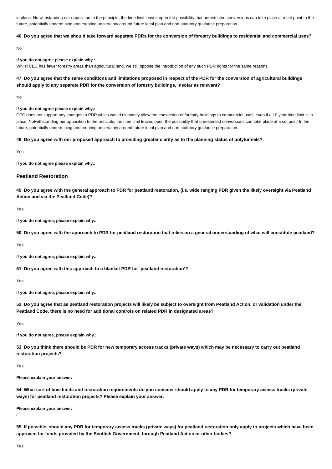in place. Notwithstanding our opposition to the principle, the time limit leaves open the possibility that unrestricted conversions can take place at a set point In the future, potentially undermining and creating uncertainty around future local plan and non-statutory guidance preparation.

#### **46 Do you agree that we should take forward separate PDRs for the conversion of forestry buildings to residential and commercial uses?**

No

# **If you do not agree please explain why.:**

Whilst CEC has fewer forestry areas than agricultural land, we still oppose the introduction of any such PDR rights for the same reasons.

# **47 Do you agree that the same conditions and limitations proposed in respect of the PDR for the conversion of agricultural buildings should apply to any separate PDR for the conversion of forestry buildings, insofar as relevant?**

No

#### **If you do not agree please explain why.:**

CEC does not support any changes to PDR which would ultimately allow the conversion of forestry buildings to commercial uses, even if a 10 year time limit is in place. Notwithstanding our opposition to the principle, the time limit leaves open the possibility that unrestricted conversions can take place at a set point In the future, potentially undermining and creating uncertainty around future local plan and non-statutory guidance preparation.

#### **48 Do you agree with our proposed approach to providing greater clarity as to the planning status of polytunnels?**

Yes

**If you do not agree please explain why.:**

### **Peatland Restoration**

**49 Do you agree with the general approach to PDR for peatland restoration, (i.e. wide ranging PDR given the likely oversight via Peatland Action and via the Peatland Code)?**

Yes

**If you do not agree, please explain why.:**

**50 Do you agree with the approach to PDR for peatland restoration that relies on a general understanding of what will constitute peatland?**

Yes

**If you do not agree, please explain why.:**

**51 Do you agree with this approach to a blanket PDR for 'peatland restoration'?**

Yes

**If you do not agree, please explain why.:**

**52 Do you agree that as peatland restoration projects will likely be subject to oversight from Peatland Action, or validation under the Peatland Code, there is no need for additional controls on related PDR in designated areas?**

Yes

**If you do not agree, please explain why.:**

**53 Do you think there should be PDR for new temporary access tracks (private ways) which may be necessary to carry out peatland restoration projects?**

Yes

**Please explain your answer:**

**54 What sort of time limits and restoration requirements do you consider should apply to any PDR for temporary access tracks (private ways) for peatland restoration projects? Please explain your answer.**

**Please explain your answer:**

**55 If possible, should any PDR for temporary access tracks (private ways) for peatland restoration only apply to projects which have been approved for funds provided by the Scottish Government, through Peatland Action or other bodies?**

/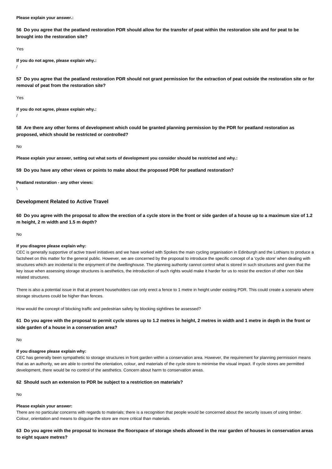**Please explain your answer.:**

**56 Do you agree that the peatland restoration PDR should allow for the transfer of peat within the restoration site and for peat to be brought into the restoration site?**

Yes

**If you do not agree, please explain why.:** /

**57 Do you agree that the peatland restoration PDR should not grant permission for the extraction of peat outside the restoration site or for removal of peat from the restoration site?**

Yes

**If you do not agree, please explain why.:** /

**58 Are there any other forms of development which could be granted planning permission by the PDR for peatland restoration as proposed, which should be restricted or controlled?**

No

**Please explain your answer, setting out what sorts of development you consider should be restricted and why.:**

**59 Do you have any other views or points to make about the proposed PDR for peatland restoration?**

**Peatland restoration - any other views:**  $\lambda$ 

# **Development Related to Active Travel**

**60 Do you agree with the proposal to allow the erection of a cycle store in the front or side garden of a house up to a maximum size of 1.2 m height, 2 m width and 1.5 m depth?**

No

# **If you disagree please explain why:**

CEC is generally supportive of active travel initiatives and we have worked with Spokes the main cycling organisation in Edinburgh and the Lothians to produce a factsheet on this matter for the general public. However, we are concerned by the proposal to introduce the specific concept of a 'cycle store' when dealing with structures which are incidental to the enjoyment of the dwellinghouse. The planning authority cannot control what is stored in such structures and given that the key issue when assessing storage structures is aesthetics, the introduction of such rights would make it harder for us to resist the erection of other non bike related structures.

There is also a potential issue in that at present householders can only erect a fence to 1 metre in height under existing PDR. This could create a scenario where storage structures could be higher than fences.

How would the concept of blocking traffic and pedestrian safety by blocking sightlines be assessed?

**61 Do you agree with the proposal to permit cycle stores up to 1.2 metres in height, 2 metres in width and 1 metre in depth in the front or side garden of a house in a conservation area?**

No

#### **If you disagree please explain why:**

CEC has generally been sympathetic to storage structures in front garden within a conservation area. However, the requirement for planning permission means that as an authority, we are able to control the orientation, colour, and materials of the cycle store to minimise the visual impact. If cycle stores are permitted development, there would be no control of the aesthetics. Concern about harm to conservation areas.

#### **62 Should such an extension to PDR be subject to a restriction on materials?**

No

#### **Please explain your answer:**

There are no particular concerns with regards to materials; there is a recognition that people would be concerned about the security issues of using timber. Colour, orientation and means to disguise the store are more critical than materials.

**63 Do you agree with the proposal to increase the floorspace of storage sheds allowed in the rear garden of houses in conservation areas to eight square metres?**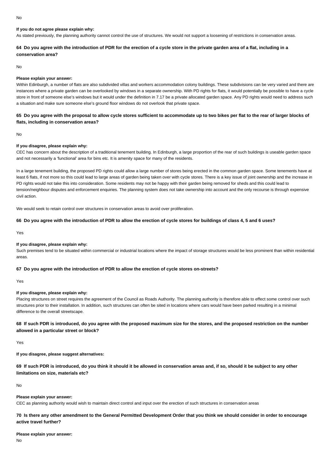#### No

# **If you do not agree please explain why:**

As stated previously, the planning authority cannot control the use of structures. We would not support a loosening of restrictions in conservation areas.

# **64 Do you agree with the introduction of PDR for the erection of a cycle store in the private garden area of a flat, including in a conservation area?**

No

#### **Please explain your answer:**

Within Edinburgh, a number of flats are also subdivided villas and workers accommodation colony buildings. These subdivisions can be very varied and there are instances where a private garden can be overlooked by windows in a separate ownership. With PD rights for flats, it would potentially be possible to have a cycle store in front of someone else's windows but it would under the definition in 7.17 be a private allocated garden space. Any PD rights would need to address such a situation and make sure someone else's ground floor windows do not overlook that private space.

# **65 Do you agree with the proposal to allow cycle stores sufficient to accommodate up to two bikes per flat to the rear of larger blocks of flats, including in conservation areas?**

No

#### **If you disagree, please explain why:**

CEC has concern about the description of a traditional tenement building. In Edinburgh, a large proportion of the rear of such buildings is useable garden space and not necessarily a 'functional' area for bins etc. It is amenity space for many of the residents.

In a large tenement building, the proposed PD rights could allow a large number of stores being erected in the common garden space. Some tenements have at least 6 flats, if not more so this could lead to large areas of garden being taken over with cycle stores. There is a key issue of joint ownership and the increase in PD rights would not take this into consideration. Some residents may not be happy with their garden being removed for sheds and this could lead to tension/neighbour disputes and enforcement enquiries. The planning system does not take ownership into account and the only recourse is through expensive civil action.

We would seek to retain control over structures in conservation areas to avoid over proliferation.

#### **66 Do you agree with the introduction of PDR to allow the erection of cycle stores for buildings of class 4, 5 and 6 uses?**

Yes

#### **If you disagree, please explain why:**

Such premises tend to be situated within commercial or industrial locations where the impact of storage structures would be less prominent than within residential areas.

#### **67 Do you agree with the introduction of PDR to allow the erection of cycle stores on-streets?**

Yes

#### **If you disagree, please explain why:**

Placing structures on street requires the agreement of the Council as Roads Authority. The planning authority is therefore able to effect some control over such structures prior to their installation. In addition, such structures can often be sited in locations where cars would have been parked resulting in a minimal difference to the overall streetscape.

# **68 If such PDR is introduced, do you agree with the proposed maximum size for the stores, and the proposed restriction on the number allowed in a particular street or block?**

Yes

**If you disagree, please suggest alternatives:**

**69 If such PDR is introduced, do you think it should it be allowed in conservation areas and, if so, should it be subject to any other limitations on size, materials etc?**

No

#### **Please explain your answer:**

CEC as planning authority would wish to maintain direct control and input over the erection of such structures in conservation areas

**70 Is there any other amendment to the General Permitted Development Order that you think we should consider in order to encourage active travel further?**

#### **Please explain your answer:**

No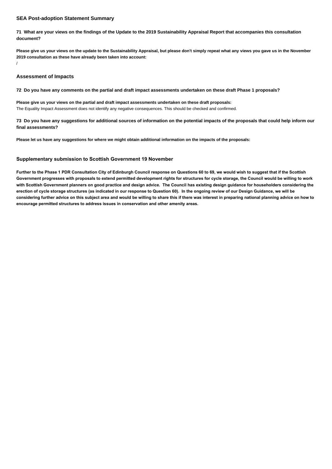# **SEA Post-adoption Statement Summary**

**71 What are your views on the findings of the Update to the 2019 Sustainability Appraisal Report that accompanies this consultation document?**

**Please give us your views on the update to the Sustainability Appraisal, but please don't simply repeat what any views you gave us in the November 2019 consultation as these have already been taken into account:**

/

# **Assessment of Impacts**

**72 Do you have any comments on the partial and draft impact assessments undertaken on these draft Phase 1 proposals?**

**Please give us your views on the partial and draft impact assessments undertaken on these draft proposals:** The Equality Impact Assessment does not identify any negative consequences. This should be checked and confirmed.

**73 Do you have any suggestions for additional sources of information on the potential impacts of the proposals that could help inform our final assessments?**

**Please let us have any suggestions for where we might obtain additional information on the impacts of the proposals:**

# **Supplementary submission to Scottish Government 19 November**

**Further to the Phase 1 PDR Consultation City of Edinburgh Council response on Questions 60 to 69, we would wish to suggest that if the Scottish Government progresses with proposals to extend permitted development rights for structures for cycle storage, the Council would be willing to work with Scottish Government planners on good practice and design advice. The Council has existing design guidance for householders considering the erection of cycle storage structures (as indicated in our response to Question 60). In the ongoing review of our Design Guidance, we will be considering further advice on this subject area and would be willing to share this if there was interest in preparing national planning advice on how to encourage permitted structures to address issues in conservation and other amenity areas.**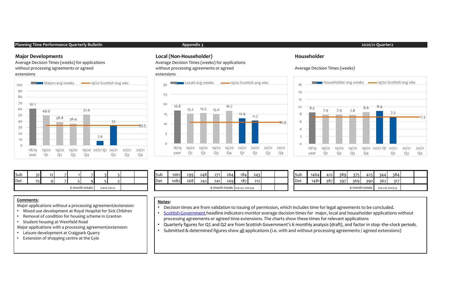#### **Planning Time Performance Quarterly Bulletin Appendix 3 2020/21 Quarter2**

Average Decision Times (weeks) for applications without processing agreements or agreed extensions



#### **Major Developments Local (Non-Householder) Householder**

Average Decision Times (weeks) for applications without processing agreements or agreed extensions







| Sub | $\sim$                           |  |  |  |  |  |  |  | Sub | 1061 | 299 | 248                              | 271 | 264 | 184 | 243 |  | . .<br><b>I</b> Sub | 1464            | 422 | 389              | 3751 | 425 | 344 | $\neg Q$ |  |
|-----|----------------------------------|--|--|--|--|--|--|--|-----|------|-----|----------------------------------|-----|-----|-----|-----|--|---------------------|-----------------|-----|------------------|------|-----|-----|----------|--|
| Det |                                  |  |  |  |  |  |  |  | Det | 1082 | 268 | 242                              | 241 | 249 | 187 | 212 |  | Det                 | 1481            | 387 | 397              | 369  | 390 | 362 | 3171     |  |
|     | 6 month totals:<br>Sub:8, Det:10 |  |  |  |  |  |  |  |     |      |     | 6 month totals: Sub:427, Det:399 |     |     |     |     |  |                     | 6 month totals: |     | Sub:728, Det:670 |      |     |     |          |  |

#### **Comments:**

Major applications without a processing agreement/extension:

- Mixed use development at Royal Hospital for Sick Children
- Removal of condition for housing scheme in Granton
- Student housing at Westfield Road

Major applications with a processing agreement/extension:

- Leisure development at Craigpark Quarry
- Extension of shopping centre at the Gyle

#### **Notes:**

- Decision times are from validation to issuing of permission, which includes time for legal agreements to be concluded.
- Scottish Government headline indicators monitor average decision times for major, local and householder applications without processing agreements or agreed time extensions. The charts show these times for relevant applications
- Quarterly figures for Q1 and Q2 are from Scottish Government's 6 monthly analysis (draft), and factor in stop-the-clock periods.
- Submitted & determined figures show all applications (i.e. with and without processing agreements / agreed extensions)